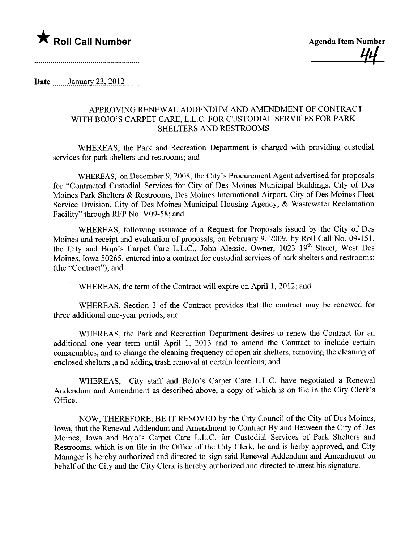

44<br>-

Date  $\frac{\text{January } 23, 2012 \dots}{\text{January } 23, 2012 \dots}$ 

## APPROVING RENEWAL ADDENDUM AND AMENDMENT OF CONTRACT WITH BOJO'S CARPET CARE, L.L.C. FOR CUSTODIAL SERVICES FOR PARK SHELTERS AND RESTROOMS

WHEREAS, the Park and Recreation Department is charged with providing custodial services for park shelters and restrooms; and

WHREAS, on December 9, 2008, the City's Procurement Agent advertised for proposals for "Contracted Custodial Services for City of Des Moines Municipal Buildings, City of Des Moines Park Shelters & Restrooms, Des Moines International Airport, City of Des Moines Fleet Service Division, City of Des Moines Municipal Housing Agency, & Wastewater Reclamation Facility" through RFP No. V09-58; and

WHEREAS, following issuance of a Request for Proposals issued by the City of Des Moines and receipt and evaluation of proposals, on February 9, 2009, by Roll Call No. 09-151, the City and Bojo's Carpet Care L.L.C., John Alessio, Owner, 1023 19th Street, West Des Moines, Iowa 50265, entered into a contract for custodial services of park shelters and restrooms; (the "Contract"); and

WHEREAS, the term of the Contract will expire on April 1, 2012; and

WHEREAS, Section 3 of the Contract provides that the contract may be renewed for three additional one-year periods; and

WHEREAS, the Park and Recreation Department desires to renew the Contract for an additional one year term until April 1, 2013 and to amend the Contract to include certain consumables, and to change the cleaning frequency of open air shelters, removing the cleaning of enclosed shelters ,a nd adding trash removal at certain locations; and

WHEREAS, City staff and BoJo's Carpet Care L.L.C. have negotiated a Renewal Addendum and Amendment as described above, a copy of which is on file in the City Clerk's Office.

NOW, THEREFORE, BE IT RESOVED by the City Council of the City of Des Moines, Iowa, that the Renewal Addendum and Amendment to Contract By and Between the City of Des Moines, Iowa and Bojo's Carpet Care L.L.C. for Custodial Services of Park Shelters and Restrooms, which is on file in the Office of the City Clerk, be and is herby approved, and City Manager is hereby authorized and directed to sign said Renewal Addendum and Amendment on behalf of the City and the City Clerk is hereby authorized and directed to attest his signature.